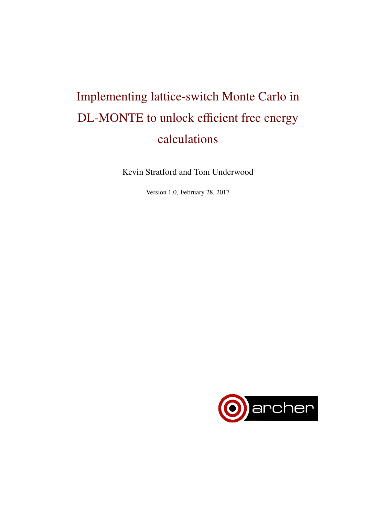# Implementing lattice-switch Monte Carlo in DL-MONTE to unlock efficient free energy calculations

Kevin Stratford and Tom Underwood

Version 1.0, February 28, 2017

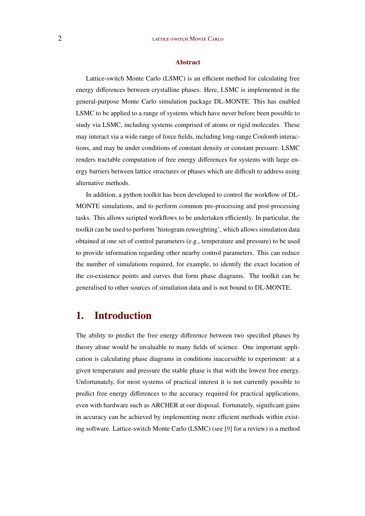#### Abstract

Lattice-switch Monte Carlo (LSMC) is an efficient method for calculating free energy differences between crystalline phases. Here, LSMC is implemented in the general-purpose Monte Carlo simulation package DL-MONTE. This has enabled LSMC to be applied to a range of systems which have never before been possible to study via LSMC, including systems comprised of atoms or rigid molecules. These may interact via a wide range of force fields, including long-range Coulomb interactions, and may be under conditions of constant density or constant pressure. LSMC renders tractable computation of free energy differences for systems with large energy barriers between lattice structures or phases which are difficult to address using alternative methods.

In addition, a python toolkit has been developed to control the workflow of DL-MONTE simulations, and to perform common pre-processing and post-processing tasks. This allows scripted workflows to be undertaken efficiently. In particular, the toolkit can be used to perform 'histogram reweighting', which allows simulation data obtained at one set of control parameters (e.g., temperature and pressure) to be used to provide information regarding other nearby control parameters. This can reduce the number of simulations required, for example, to identify the exact location of the co-existence points and curves that form phase diagrams. The toolkit can be generalised to other sources of simulation data and is not bound to DL-MONTE.

# 1. Introduction

The ability to predict the free energy difference between two specified phases by theory alone would be invaluable to many fields of science. One important application is calculating phase diagrams in conditions inaccessible to experiment: at a given temperature and pressure the stable phase is that with the lowest free energy. Unfortunately, for most systems of practical interest it is not currently possible to predict free energy differences to the accuracy required for practical applications, even with hardware such as ARCHER at our disposal. Fortunately, significant gains in accuracy can be achieved by implementing more efficient methods within existing software. Lattice-switch Monte Carlo (LSMC) (see [\[9\]](#page-13-0) for a review) is a method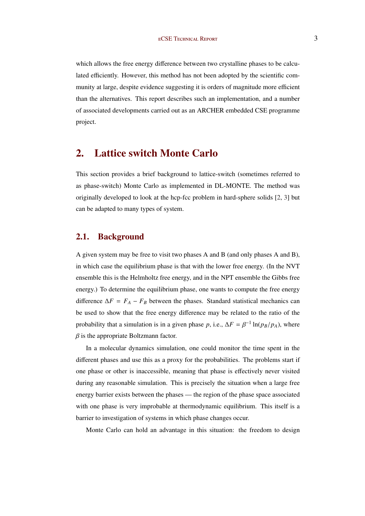which allows the free energy difference between two crystalline phases to be calculated efficiently. However, this method has not been adopted by the scientific community at large, despite evidence suggesting it is orders of magnitude more efficient than the alternatives. This report describes such an implementation, and a number of associated developments carried out as an ARCHER embedded CSE programme project.

# 2. Lattice switch Monte Carlo

This section provides a brief background to lattice-switch (sometimes referred to as phase-switch) Monte Carlo as implemented in DL-MONTE. The method was originally developed to look at the hcp-fcc problem in hard-sphere solids [\[2,](#page-13-0) [3\]](#page-13-0) but can be adapted to many types of system.

### 2.1. Background

A given system may be free to visit two phases A and B (and only phases A and B), in which case the equilibrium phase is that with the lower free energy. (In the NVT ensemble this is the Helmholtz free energy, and in the NPT ensemble the Gibbs free energy.) To determine the equilibrium phase, one wants to compute the free energy difference  $\Delta F = F_A - F_B$  between the phases. Standard statistical mechanics can be used to show that the free energy difference may be related to the ratio of the probability that a simulation is in a given phase *p*, i.e.,  $\Delta F = \beta^{-1} \ln(p_B/p_A)$ , where  $\beta$  is the appropriate Boltzmann factor.

In a molecular dynamics simulation, one could monitor the time spent in the different phases and use this as a proxy for the probabilities. The problems start if one phase or other is inaccessible, meaning that phase is effectively never visited during any reasonable simulation. This is precisely the situation when a large free energy barrier exists between the phases — the region of the phase space associated with one phase is very improbable at thermodynamic equilibrium. This itself is a barrier to investigation of systems in which phase changes occur.

Monte Carlo can hold an advantage in this situation: the freedom to design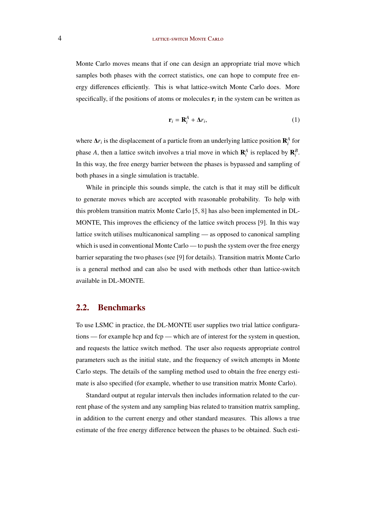Monte Carlo moves means that if one can design an appropriate trial move which samples both phases with the correct statistics, one can hope to compute free energy differences efficiently. This is what lattice-switch Monte Carlo does. More specifically, if the positions of atoms or molecules  $\mathbf{r}_i$  in the system can be written as

$$
\mathbf{r}_i = \mathbf{R}_i^A + \Delta r_i,\tag{1}
$$

where  $\Delta r_i$  is the displacement of a particle from an underlying lattice position  $\mathbf{R}_i^A$  for phase *A*, then a lattice switch involves a trial move in which  $\mathbf{R}_i^A$  is replaced by  $\mathbf{R}_i^B$ . In this way, the free energy barrier between the phases is bypassed and sampling of both phases in a single simulation is tractable.

While in principle this sounds simple, the catch is that it may still be difficult to generate moves which are accepted with reasonable probability. To help with this problem transition matrix Monte Carlo [\[5,](#page-13-0) [8\]](#page-13-0) has also been implemented in DL-MONTE, This improves the efficiency of the lattice switch process [\[9\]](#page-13-0). In this way lattice switch utilises multicanonical sampling — as opposed to canonical sampling which is used in conventional Monte Carlo — to push the system over the free energy barrier separating the two phases (see [\[9\]](#page-13-0) for details). Transition matrix Monte Carlo is a general method and can also be used with methods other than lattice-switch available in DL-MONTE.

## 2.2. Benchmarks

To use LSMC in practice, the DL-MONTE user supplies two trial lattice configurations — for example hcp and fcp — which are of interest for the system in question, and requests the lattice switch method. The user also requests appropriate control parameters such as the initial state, and the frequency of switch attempts in Monte Carlo steps. The details of the sampling method used to obtain the free energy estimate is also specified (for example, whether to use transition matrix Monte Carlo).

Standard output at regular intervals then includes information related to the current phase of the system and any sampling bias related to transition matrix sampling, in addition to the current energy and other standard measures. This allows a true estimate of the free energy difference between the phases to be obtained. Such esti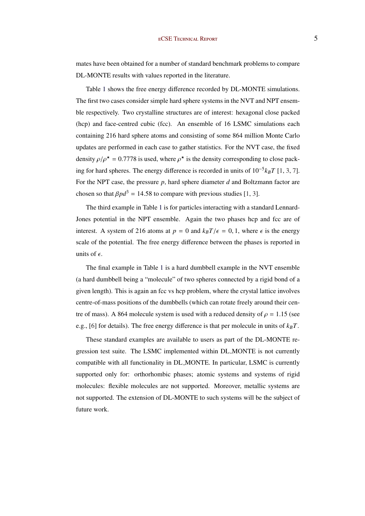mates have been obtained for a number of standard benchmark problems to compare DL-MONTE results with values reported in the literature.

Table [1](#page-5-0) shows the free energy difference recorded by DL-MONTE simulations. The first two cases consider simple hard sphere systems in the NVT and NPT ensemble respectively. Two crystalline structures are of interest: hexagonal close packed (hcp) and face-centred cubic (fcc). An ensemble of 16 LSMC simulations each containing 216 hard sphere atoms and consisting of some 864 million Monte Carlo updates are performed in each case to gather statistics. For the NVT case, the fixed density  $\rho/\rho^* = 0.7778$  is used, where  $\rho^*$  is the density corresponding to close packing for hard spheres. The energy difference is recorded in units of 10−<sup>5</sup> *kBT* [\[1,](#page-13-0) [3,](#page-13-0) [7\]](#page-13-0). For the NPT case, the pressure *p*, hard sphere diameter *d* and Boltzmann factor are chosen so that  $\beta p d^3 = 14.58$  to compare with previous studies [\[1,](#page-13-0) [3\]](#page-13-0).

The third example in Table [1](#page-5-0) is for particles interacting with a standard Lennard-Jones potential in the NPT ensemble. Again the two phases hcp and fcc are of interest. A system of 216 atoms at  $p = 0$  and  $k_B T / \epsilon = 0, 1$ , where  $\epsilon$  is the energy scale of the potential. The free energy difference between the phases is reported in units of  $\epsilon$ .

The final example in Table [1](#page-5-0) is a hard dumbbell example in the NVT ensemble (a hard dumbbell being a "molecule" of two spheres connected by a rigid bond of a given length). This is again an fcc vs hcp problem, where the crystal lattice involves centre-of-mass positions of the dumbbells (which can rotate freely around their centre of mass). A 864 molecule system is used with a reduced density of  $\rho = 1.15$  (see e.g., [\[6\]](#page-13-0) for details). The free energy difference is that per molecule in units of  $k_B T$ .

These standard examples are available to users as part of the DL-MONTE regression test suite. The LSMC implemented within DL MONTE is not currently compatible with all functionality in DL MONTE. In particular, LSMC is currently supported only for: orthorhombic phases; atomic systems and systems of rigid molecules: flexible molecules are not supported. Moreover, metallic systems are not supported. The extension of DL-MONTE to such systems will be the subject of future work.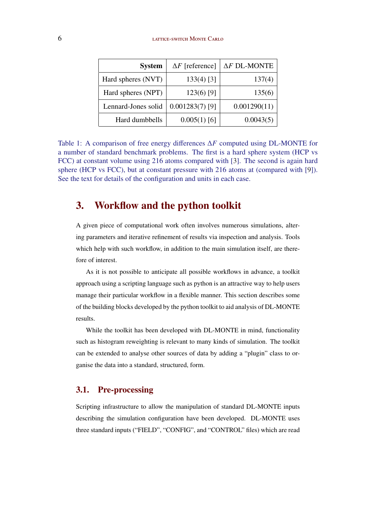<span id="page-5-0"></span>

| <b>System</b>       | $\Delta F$ [reference] | $\Delta F$ DL-MONTE |
|---------------------|------------------------|---------------------|
| Hard spheres (NVT)  | $133(4)$ [3]           | 137(4)              |
| Hard spheres (NPT)  | $123(6)$ [9]           | 135(6)              |
| Lennard-Jones solid | $0.001283(7)$ [9]      | 0.001290(11)        |
| Hard dumbbells      | $0.005(1)$ [6]         | 0.0043(5)           |

Table 1: A comparison of free energy differences ∆*F* computed using DL-MONTE for a number of standard benchmark problems. The first is a hard sphere system (HCP vs FCC) at constant volume using 216 atoms compared with [\[3\]](#page-13-0). The second is again hard sphere (HCP vs FCC), but at constant pressure with 216 atoms at (compared with [\[9\]](#page-13-0)). See the text for details of the configuration and units in each case.

# 3. Workflow and the python toolkit

A given piece of computational work often involves numerous simulations, altering parameters and iterative refinement of results via inspection and analysis. Tools which help with such workflow, in addition to the main simulation itself, are therefore of interest.

As it is not possible to anticipate all possible workflows in advance, a toolkit approach using a scripting language such as python is an attractive way to help users manage their particular workflow in a flexible manner. This section describes some of the building blocks developed by the python toolkit to aid analysis of DL-MONTE results.

While the toolkit has been developed with DL-MONTE in mind, functionality such as histogram reweighting is relevant to many kinds of simulation. The toolkit can be extended to analyse other sources of data by adding a "plugin" class to organise the data into a standard, structured, form.

## 3.1. Pre-processing

Scripting infrastructure to allow the manipulation of standard DL-MONTE inputs describing the simulation configuration have been developed. DL-MONTE uses three standard inputs ("FIELD", "CONFIG", and "CONTROL" files) which are read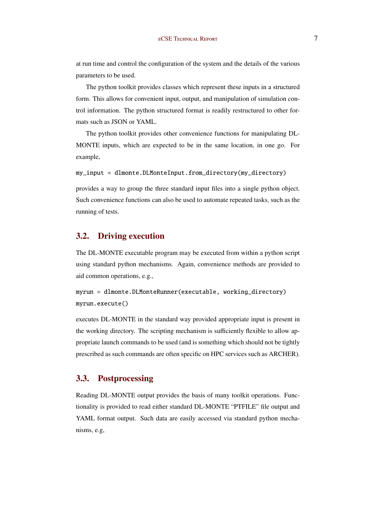at run time and control the configuration of the system and the details of the various parameters to be used.

The python toolkit provides classes which represent these inputs in a structured form. This allows for convenient input, output, and manipulation of simulation control information. The python structured format is readily restructured to other formats such as JSON or YAML.

The python toolkit provides other convenience functions for manipulating DL-MONTE inputs, which are expected to be in the same location, in one go. For example,

my\_input = dlmonte.DLMonteInput.from\_directory(my\_directory)

provides a way to group the three standard input files into a single python object. Such convenience functions can also be used to automate repeated tasks, such as the running of tests.

## 3.2. Driving execution

The DL-MONTE executable program may be executed from within a python script using standard python mechanisms. Again, convenience methods are provided to aid common operations, e.g.,

myrun = dlmonte.DLMonteRunner(executable, working\_directory) myrun.execute()

executes DL-MONTE in the standard way provided appropriate input is present in the working directory. The scripting mechanism is sufficiently flexible to allow appropriate launch commands to be used (and is something which should not be tightly prescribed as such commands are often specific on HPC services such as ARCHER).

## 3.3. Postprocessing

Reading DL-MONTE output provides the basis of many toolkit operations. Functionality is provided to read either standard DL-MONTE "PTFILE" file output and YAML format output. Such data are easily accessed via standard python mechanisms, e.g,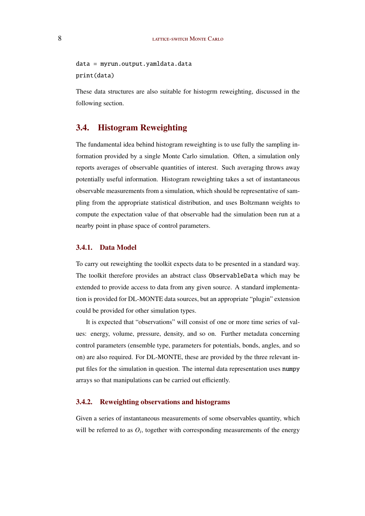data = myrun.output.yamldata.data print(data)

These data structures are also suitable for histogrm reweighting, discussed in the following section.

## 3.4. Histogram Reweighting

The fundamental idea behind histogram reweighting is to use fully the sampling information provided by a single Monte Carlo simulation. Often, a simulation only reports averages of observable quantities of interest. Such averaging throws away potentially useful information. Histogram reweighting takes a set of instantaneous observable measurements from a simulation, which should be representative of sampling from the appropriate statistical distribution, and uses Boltzmann weights to compute the expectation value of that observable had the simulation been run at a nearby point in phase space of control parameters.

#### 3.4.1. Data Model

To carry out reweighting the toolkit expects data to be presented in a standard way. The toolkit therefore provides an abstract class ObservableData which may be extended to provide access to data from any given source. A standard implementation is provided for DL-MONTE data sources, but an appropriate "plugin" extension could be provided for other simulation types.

It is expected that "observations" will consist of one or more time series of values: energy, volume, pressure, density, and so on. Further metadata concerning control parameters (ensemble type, parameters for potentials, bonds, angles, and so on) are also required. For DL-MONTE, these are provided by the three relevant input files for the simulation in question. The internal data representation uses numpy arrays so that manipulations can be carried out efficiently.

#### 3.4.2. Reweighting observations and histograms

Given a series of instantaneous measurements of some observables quantity, which will be referred to as  $O_i$ , together with corresponding measurements of the energy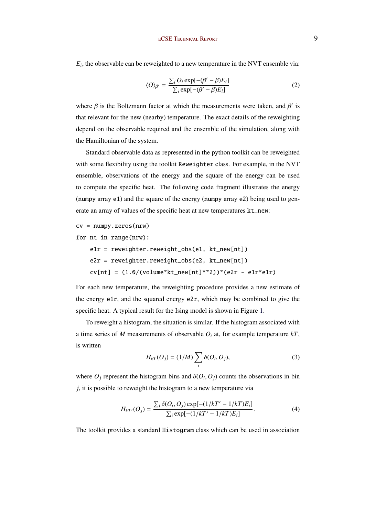$E_i$ , the observable can be reweighted to a new temperature in the NVT ensemble via:

$$
\langle O \rangle_{\beta'} = \frac{\sum_{i} O_i \exp[-(\beta' - \beta)E_i]}{\sum_{i} \exp[-(\beta' - \beta)E_i]}
$$
(2)

where  $\beta$  is the Boltzmann factor at which the measurements were taken, and  $\beta'$  is that relevant for the new (nearby) temperature. The exact details of the reweighting depend on the observable required and the ensemble of the simulation, along with the Hamiltonian of the system.

Standard observable data as represented in the python toolkit can be reweighted with some flexibility using the toolkit Reweighter class. For example, in the NVT ensemble, observations of the energy and the square of the energy can be used to compute the specific heat. The following code fragment illustrates the energy (numpy array e1) and the square of the energy (numpy array e2) being used to generate an array of values of the specific heat at new temperatures kt\_new:

```
cv = \text{numpy}.\text{zeros}(\text{nrw})
```

```
for nt in range(nrw):
```

```
e1r = reweighter.reweight_obs(e1, kt_new[nt])
e2r = reweighter.reweight_obs(e2, kt_new[nt])
cv[nt] = (1.0/(volume * kt_new[nt] **2))*(e2r - e1r * e1r)
```
For each new temperature, the reweighting procedure provides a new estimate of the energy e1r, and the squared energy e2r, which may be combined to give the specific heat. A typical result for the Ising model is shown in Figure [1.](#page-9-0)

To reweight a histogram, the situation is similar. If the histogram associated with a time series of *M* measurements of observable *O<sup>i</sup>* at, for example temperature *kT*, is written

$$
H_{kT}(O_j) = (1/M) \sum_i \delta(O_i, O_j), \qquad (3)
$$

where  $O_j$  represent the histogram bins and  $\delta(O_i, O_j)$  counts the observations in bin *j*, it is possible to reweight the histogram to a new temperature via

$$
H_{kT'}(O_j) = \frac{\sum_i \delta(O_i, O_j) \exp[-(1/kT' - 1/kT)E_i]}{\sum_i \exp[-(1/kT' - 1/kT)E_i]}.
$$
(4)

The toolkit provides a standard Histogram class which can be used in association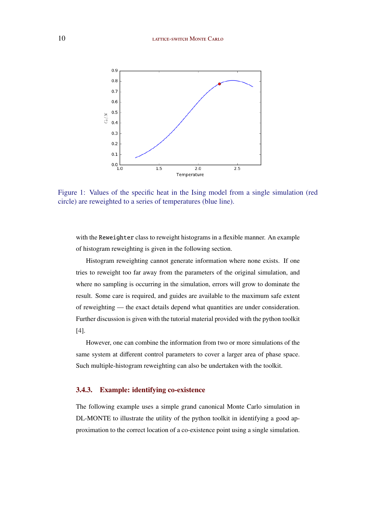#### <span id="page-9-0"></span>10 LATTICE-SWITCH MONTE CARLO



Figure 1: Values of the specific heat in the Ising model from a single simulation (red circle) are reweighted to a series of temperatures (blue line).

with the Reweighter class to reweight histograms in a flexible manner. An example of histogram reweighting is given in the following section.

Histogram reweighting cannot generate information where none exists. If one tries to reweight too far away from the parameters of the original simulation, and where no sampling is occurring in the simulation, errors will grow to dominate the result. Some care is required, and guides are available to the maximum safe extent of reweighting — the exact details depend what quantities are under consideration. Further discussion is given with the tutorial material provided with the python toolkit [\[4\]](#page-13-0).

However, one can combine the information from two or more simulations of the same system at different control parameters to cover a larger area of phase space. Such multiple-histogram reweighting can also be undertaken with the toolkit.

#### 3.4.3. Example: identifying co-existence

The following example uses a simple grand canonical Monte Carlo simulation in DL-MONTE to illustrate the utility of the python toolkit in identifying a good approximation to the correct location of a co-existence point using a single simulation.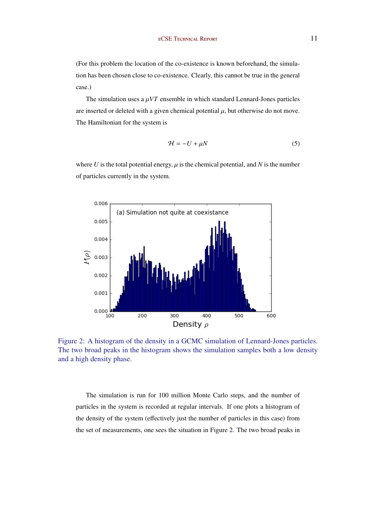(For this problem the location of the co-existence is known beforehand, the simulation has been chosen close to co-existence. Clearly, this cannot be true in the general case.)

The simulation uses a  $\mu VT$  ensemble in which standard Lennard-Jones particles are inserted or deleted with a given chemical potential  $\mu$ , but otherwise do not move. The Hamiltonian for the system is

$$
\mathcal{H} = -U + \mu N \tag{5}
$$

where  $U$  is the total potential energy,  $\mu$  is the chemical potential, and  $N$  is the number of particles currently in the system.



Figure 2: A histogram of the density in a GCMC simulation of Lennard-Jones particles. The two broad peaks in the histogram shows the simulation samples both a low density and a high density phase.

The simulation is run for 100 million Monte Carlo steps, and the number of particles in the system is recorded at regular intervals. If one plots a histogram of the density of the system (effectively just the number of particles in this case) from the set of measurements, one sees the situation in Figure 2. The two broad peaks in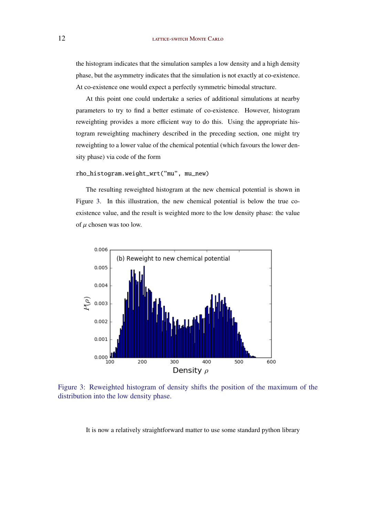the histogram indicates that the simulation samples a low density and a high density phase, but the asymmetry indicates that the simulation is not exactly at co-existence. At co-existence one would expect a perfectly symmetric bimodal structure.

At this point one could undertake a series of additional simulations at nearby parameters to try to find a better estimate of co-existence. However, histogram reweighting provides a more efficient way to do this. Using the appropriate histogram reweighting machinery described in the preceding section, one might try reweighting to a lower value of the chemical potential (which favours the lower density phase) via code of the form

```
rho_histogram.weight_wrt("mu", mu_new)
```
The resulting reweighted histogram at the new chemical potential is shown in Figure 3. In this illustration, the new chemical potential is below the true coexistence value, and the result is weighted more to the low density phase: the value of  $\mu$  chosen was too low.



Figure 3: Reweighted histogram of density shifts the position of the maximum of the distribution into the low density phase.

It is now a relatively straightforward matter to use some standard python library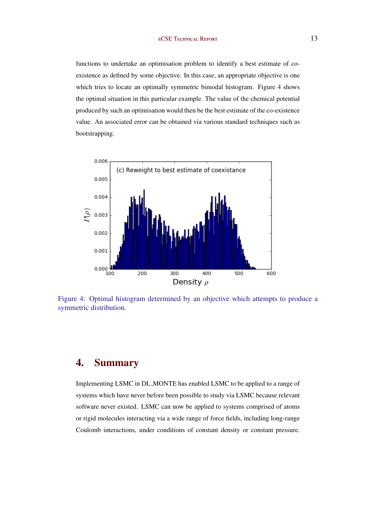functions to undertake an optimisation problem to identify a best estimate of coexistence as defined by some objective. In this case, an appropriate objective is one which tries to locate an optimally symmetric bimodal histogram. Figure 4 shows the optimal situation in this particular example. The value of the chemical potential produced by such an optimisation would then be the best estimate of the co-existence value. An associated error can be obtained via various standard techniques such as bootstrapping.



Figure 4: Optimal histogram determined by an objective which attempts to produce a symmetric distribution.

# 4. Summary

Implementing LSMC in DL MONTE has enabled LSMC to be applied to a range of systems which have never before been possible to study via LSMC because relevant software never existed. LSMC can now be applied to systems comprised of atoms or rigid molecules interacting via a wide range of force fields, including long-range Coulomb interactions, under conditions of constant density or constant pressure.